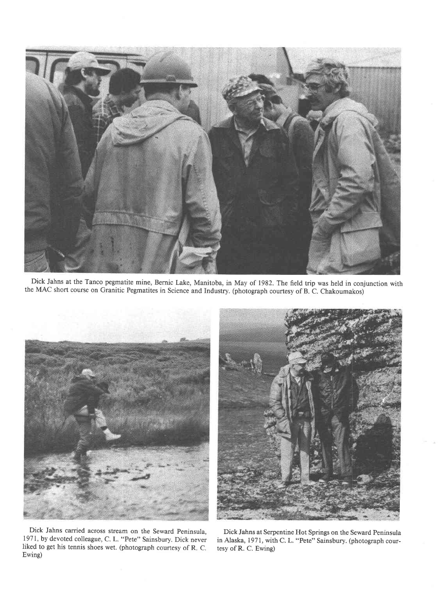

Dick Jahns at the Tanco pegmatite mine, Bernic Lake, Manitoba, in May of 1982. The field trip was held in conjunction with the MAC short course on Granitic Pegmatites in Science and Industry. (photograph courtesy of B. C. Chakoumakos)





Dick Jahns carried across stream on the Seward peninsula, 1971, by devoted colleague, C. L. "Pete" Sainsbury. Dick never liked to get his tennis shoes wet. (photograph courtesy of R. C. Ewing)

Dick Jahns at Serpentine Hot Springs on the Seward Peninsula in Alaska, 1971, with C. L. "Pete" Sainsbury. (photograph courtesy of R. C. Ewing)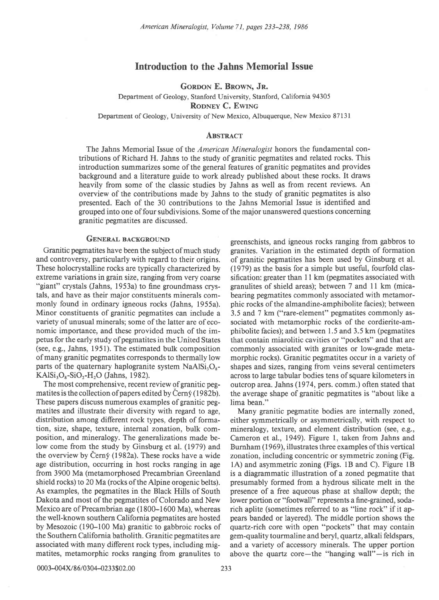# Introduction to the Jahns Memorial Issue

GORDON E. BROWN, JR.

Department of Geology, Stanford University, Stanford, California 94305

RODNEY C. EWING

Department of Geology, University of New Mexico, Albuquerque, New Mexico 87131

#### **ABSTRACT**

The Jahns Memorial Issue of the *American Mineralogist* honors the fundamental contributions of Richard H. Jahns to the study of granitic pegmatites and related rocks. This introduction summarizes some of the general features of granitic pegmatites and provides background and a literature guide to work already published about these rocks. It draws heavily from some of the classic studies by Jahns as well as from recent reviews. An oven'iew of the contributions made by Jahns to the study of granitic pegmatites is also presented. Each of the 30 contributions to the Jahns Memorial Issue is identified and grouped into one of four subdivisions. Some of the major unanswered questions concerning granitic pegmatites are discussed.

and controversy, particularly with regard to their origins. of granitic pegmatites has been used by Ginsburg et al. These holocrystalline rocks are typically characterized by (1979) as the basis for a simple but useful, fourfold clasextreme variations in grain size, ranging from very coarse sification: greater than 11 km (pegmatites associated with "giant" crystals (Jahns, 1953a) to fine groundmass crys- granulites of shield areas); between 7 and ll km (micatals, and have as their major constituents minerals com- bearing pegmatites commonly associated with metamormonly found in ordinary igneous rocks (Jahns, 1955a). phic rocks of the almandine-amphibolite facies); between Minor constituents of granitic pegmatites can include a 3.5 and 7 km ("rare-element" pegmatites commonly asvariety of unusual minerals; some of the latter are of eco- sociated with metamorphic rocks of the cordierite-amnomic importance, and these provided much of the im- phibolite facies); and between 1.5 and 3.5 km (pegmatites petus for the early study of pegmatites in the United States that contain miarolitic cavities or "pockets" and that are (see, e.g., Jahns, 1951). The estimated bulk composition commonly associated with granites or low-grade metaof many granitic pegmatites corresponds to thermally low morphic rocks). Granitic pegmatites occur in a variety of parts of the quaternary haplogranite system  $NaAISi<sub>3</sub>O<sub>s</sub>$ - shapes and sizes, ranging from veins several centimeters  $KAlSi<sub>3</sub>O<sub>8</sub>-SiO<sub>2</sub>-H<sub>2</sub>O$  (Jahns, 1982). across to large tabular bodies tens of square kilometers in

matites is the collection of papers edited by Cerny (1982b). the average shape of granitic pegmatites is "about like a These papers discuss numerous examples of granitic peg- lima bean." matites and illustrate their diversity with regard to age, Many granitic pegmatite bodies are internally zoned, distribution among different rock types, depth of forma- either symmetrically or asymmetrically, with respect to tion, size, shape, texture, internal zonation, bulk com- mineralogy, texture, and element distribution (see, e.g., position, and mineralogy. The generalizations made be- Cameron et a1.., 1949). Figure 1, taken from Jahns and low come from the study by Ginsburg et al. (1979) and Burnham (1969), illustrates three examples of this vertical the overview by Cerny (1982a). These rocks have a wide zonation, including concentric or symmetric zoning (Fig. age distribution, occurring in host rocks ranging in age  $1A$ ) and asymmetric zoning (Figs. 1B and C). Figure from 3900 Ma (metamorphosed Precambrian Greenland is a diagrammatic illustration of a zoned pegmatite that shield rocks) to 20 Ma (rocks of the Alpine orogenic belts). presumably formed from a hydrous silicate melt in the As examples, the pegmatites in the Black Hills of South presence of a free aqueous phase at shallow depth; the Dakota and most of the pegmatites of Colorado and New lowerportion or "footwall" represents a fine-grained, soda-Mexico are of Precambrian age (1800–1600 Ma), whereas rich aplite (sometimes referred to as "line rock" if it apthe well-known southern California pegmatites are hosted pears banded or layered). The middle portion shows the by Mesozoic (190-100 Ma) granitic to gabbroic rocks of quartz-rich core with open "pockets" that may contain the Southern California batholith. Granitic pegmatites are gem-quality tourmaline and beryl, quartz, alkali feldspars, associated with many different rock types, including mig- and a variety of accessory minerals. The upper portion matites, metamorphic rocks ranging from granulites to above the quartz core—the "hanging wall"—is rich in

GENERAL BACKGROUND greenschists, and igneous rocks ranging from gabbros to Granitic pegmatites have been the subject of much study granites. Variation in the estimated depth of formation The most comprehensive, recent review of granitic peg- outcrop area. Jahns (1974, pers. comm.) often stated that

1A) and asymmetric zoning (Figs. 1B and C). Figure 1B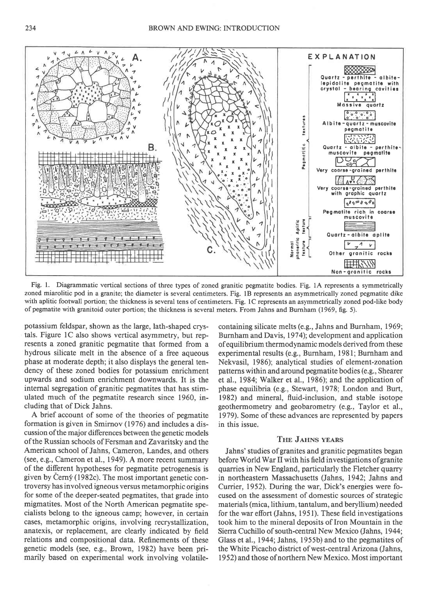

Fig. 1. Diagrammatic vertical sections of three types of zoned granitic pegmatite bodies. Fig. lA represents a symmetrically zoned miarolitic pod in a granite; the diameter is several centimeters. Fig. lB represents an asymmetrically zoned pegmatite dike with aplitic footwall portion; the thickness is several tens of centimeters. Fig. 1C represents an asymmetrically zoned pod-like body of pegmatite with granitoid outer portion; the thickness is several meters. From Jahns and Burnham (1969, fig. 5).

potassium feldspar, shown as the large, lath-shaped crystals. Figure lC also shows vertical asymmetry, but represents a zoned granitic pegmatite that formed from a hydrous silicate melt in the absence of a free aqueous phase at moderate depth; it also displays the general tendency of these zoned bodies for potassium enrichment upwards and sodium enrichment downwards. It is the internal segregation of granitic pegmatites that has stimulated much of the pegmatite research since 1960, including that of Dick Jahns.

A brief account of some of the theories of pegmatite formation is given in Smirnov (1976) and includes a discussion of the major differences between the genetic models of the Russian schools of Fersman and Zavaritsky and the American school of Jahns, Cameron, Landes, and others (see, e.g., Cameron etal., 1949). A more recent summary of the different hypotheses for pegmatite petrogenesis is given by Cerný (1982c). The most important genetic controversy has involved igneous versus metamorphic origins for some of the deeper-seated pegmatites, that grade into migmatites. Most of the North American pegmatite specialists belong to the igneous camp; however, in certain cases, metamorphic origins, involving recrystallization, anatexis, or replacement, are clearly indicated by field relations and compositional data. Refinements of these genetic models (see, e.g., Brown, 1982) have been primarily based on experimental work involving volatile-

containing silicate melts (e.g., Jahns and Burnham, 1969; Burnham and Davis, 1974); development and application ofequilibrium thermodynamic models derived from these experimental results (e.g., Burnham, l98l; Burnham and Nekvasil, 1986); analytical studies of element-zonation patterns within and around pegmatite bodies (e.g., Shearer et al., 1984; Walker et a1., 1986); and the application of phase equilibria (e.g., Stewart, 1978; London and Burt, 1982) and mineral, fluid-inclusion, and stable isotope geothermometry and geobarometry (e.g., Taylor et al., 1979). Some of these advances are represented by papers in this issue.

### THE JAHNS YEARS

Jahns' studies of granites and granitic pegmatites began before World War II with his field investigations of granite quarries in New England, particularly the Fletcher quarry in northeastern Massachusetts (Jahns, 1942; Jahns and Currier, 1952). During the war, Dick's energies were focused on the assessment of domestic sources of strategic materials (mica, lithium, tantalum, and beryllium) needed for the war efort (Jahns, l95l). These field investigations took him to the mineral deposits of Iron Mountain in the Sierra Cuchillo of south-central New Mexico (Jahns, 1944; Glass et al., 1944; Jahns, 1955b) and to the pegmatites of the White Picacho district of west-central Arizona (Jahns, 1952) and those of northern New Mexico. Most important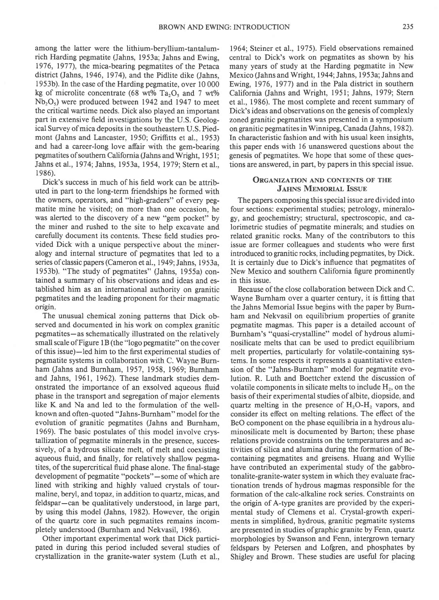among the latter were the lithium-beryllium-tantalumrich Harding pegmatite (Jahns, 1953a; Jahns and Ewing, 1976, 1977), the mica-bearing pegmatites of the Petaca district (Jahns, 1946,1974), and the Pidlite dike (Jahns, 1953b). In the case of the Harding pegmatite, over l0 000 kg of microlite concentrate (68 wt% Ta<sub>2</sub>O, and 7 wt%  $Nb<sub>2</sub>O<sub>5</sub>$ ) were produced between 1942 and 1947 to meet the critical wartime needs. Dick also played an important part in extensive field investigations by the U.S. Geological Survey ofmica deposits in the southeastern U.S. Piedmont (Jahns and Lancaster, 1950; Griffitts et al., 1953) and had a career-long love affair with the gem-bearing pegmatites of southern California (Jahns and Wright, 1951; Jahns et al., 1974; Jahns, 1953a, 1954, 1979; Stern et al., I 986).

Dick's success in much of his field work can be attributed in part to the long-term friendships he formed with the owners, operators, and "high-graders" of every pegmatite mine he visited; on more than one occasion, he was alerted to the discovery of a new "gem pocket" by the miner and rushed to the site to help excavate and carefully document its contents. These field studies provided Dick with a unique perspective about the mineralogy and internal structure of pegmatites that led to a series of classic papers (Cameron et al., 1949; Jahns, 1953a, 1953b). "The study of pegmatites" (Jahns, 1955a) contained a summary of his observations and ideas and established him as an international authority on granitic pegmatites and the leading proponent for their magmatic origin.

The unusual chemical zoning patterns that Dick observed and documented in his work on complex granitic pegmatites - as schematically illustrated on the relatively small scale of Figure 1B (the "logo pegmatite" on the cover of this issue)-led him to the first experimental studies of pegmatite systems in collaboration with C. Wayne Burnham (Jahns and Burnham,1957,1958, 1969; Burnham and Jahns, 1961, 1962). These landmark studies demonstrated the importance of an exsolved aqueous fluid phase in the transport and segregation of major elements like K and Na and led to the formulation of the wellknown and often-quoted "Jahns-Burnham" model for the evolution of granitic pegmatites (Jahns and Burnham, 1969). The basic postulates of this model involve crystallization of pegmatite minerals in the presence, successively, of a hydrous silicate melt, of melt and coexisting aqueous fluid, and finally, for relatively shallow pegmatites, of the supercritical fluid phase alone. The final-stage development of pegmatite "pockets"-some of which are lined with striking and highly valued crystals of tourmaline, beryl, and topaz, in addition to quartz, micas, and feldspar-can be qualitatively understood, in large part, by using this model (Jahns, 1982). However, the origin of the quartz core in such pegmatites remains incompletely understood (Burnham and Nekvasil, 1986).

Other important experimental work that Dick participated in during this period included several studies of crystallization in the granite-water system (Luth et al.,

1964; Steiner et al., 1975). Field observations remained central to Dick's work on pegmatites as shown by his many years of study at the Harding pegmatite in New Mexico (Jahns and Wright, 1944; Jahns, 1953a; Jahns and Ewing, 1976, 1977) and in the Pala district in southern California (Jahns and Wright, l95l; Jahns, 1979; Stern et al., 1986). The most complete and recent summary of Dick's ideas and observations on the genesis of complexly zoned granitic pegmatites was presented in a symposium on granitic pegmatites in Winnipeg, Canada (Jahns, 1982). In characteristic fashion and with his usual keen insights, this paper ends with 16 unanswered questions about the genesis of pegmatites. We hope that some of these questions are answered, in part, by papers in this special issue.

# ORGANIZATION AND CONTENTS OF THE **JAHNS MEMORIAL ISSUE**

The papers composing this special issue are divided into four sections: experimental studies; petrology, mineralogy, and geochemistry; structural, spectroscopic, and calorimetric studies of pegmatite minerals; and studies on related granitic rocks. Many of the contributors to this issue are former colleagues and students who were first introduced to granitic rocks, including pegmatites, by Dick. It is certainly due to Dick's influence that pegmatites of New Mexico and southern California figure prominently in this issue.

Because of the close collaboration between Dick and C. Wayne Burnham over a quarter century, it is fitting that the Jahns Memorial Issue begins with the paper by Burnham and Nekvasil on equilibrium properties of granite pegmatite magmas. This paper is a detailed account of Burnham's "quasi-crystalline" model of hydrous aluminosilicate melts that can be used to predict equilibrium melt properties, particularly for volatile-containing systems. In some respects it represents a quantitative extension of the "Jahns-Bumham" model for pegmatite evolution. R. Luth and Boettcher extend the discussion of volatile components in silicate melts to include  $H_2$ , on the basis of their experimental studies of albite, diopside, and quartz melting in the presence of  $H_2O-H$ , vapors, and consider its effect on melting relations. The effect of the BeO component on the phase equilibria in a hydrous aluminosilicate melt is documented by Barton; these phase relations provide constraints on the temperatures and activities of silica and alumina during the formation of Becontaining pegmatites and greisens. Huang and Wyllie have contributed an experimental study of the gabbrotonalite-granite-water system in which they evaluate fractionation trends of hydrous magmas responsible for the formation of the calc-alkaline rock series. Constraints on the origin of A-type granites are provided by the experimental study of Clemens et al. Crystal-growh experiments in simplified, hydrous, granitic pegmatite systems are presented in studies ofgraphic granite by Fenn, quartz morphologies by Swanson and Fenn, intergrown ternary feldspars by Petersen and Lofgren, and phosphates by Shigley and Brown. These studies are useful for placing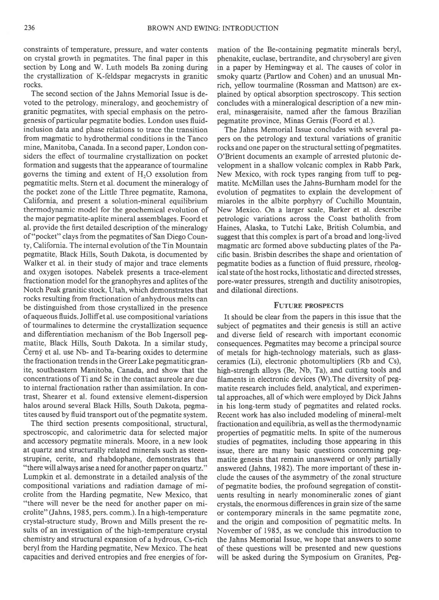constraints of temperature, pressure, and water contents on crystal growth in pegmatites. The final paper in this section by Long and W. Luth models Ba zoning during the crystallization of K-feldspar megacrysts in granitic rocks.

The second section of the Jahns Memorial Issue is devoted to the petrology, mineralogy, and geochemistry of granitic pegmatites, with special emphasis on the petrogenesis of particular pegmatite bodies. London uses fluidinclusion data and phase relations to trace the transition from magmatic to hydrothermal conditions in the Tanco mine, Manitoba, Canada. In a second paper, London considers the effect of tourmaline crystallization on pocket formation and suggests that the appearance of tourmaline governs the timing and extent of  $H<sub>2</sub>O$  exsolution from pegmatitic melts. Stern et al. document the mineralogy of the pocket zone of the Little Three pegmatite, Ramona, California, and present a solution-mineral equilibrium thermodynamic model for the geochemical evolution of the major pegmatite-aplite mineral assemblages. Foord et al. provide the first detailed description of the mineralogy of "pocket" clays from the pegmatites of San Diego County, California. The internal evolution of the Tin Mountain pegmatite, Black Hills, South Dakota, is documented by Walker et al. in their study of major and trace elements and oxygen isotopes. Nabelek presents a trace-element fractionation model for the granophyres and aplites of the Notch Peak granitic stock, Utah, which demonstrates that rocks resulting from fractionation of anhydrous melts can be distinguished from those crystallized in the presence ofaqueous fluids. Jolliffet al. use compositional variations of tourmalines to determine the crystallization sequence and differentiation mechanism of the Bob Ingersoll pegmatite, Black Hills, South Dakota. In a similar study, Černý et al. use Nb- and Ta-bearing oxides to determine the fractionation trends in the Greer Iake pegmatitic granite, southeastern Manitoba, Canada, and show that the concentrations of Ti and Sc in the contact aureole are due to internal fractionation rather than assimilation. In contrast, Shearer et al. found extensive element-dispersion halos around several Black Hills, South Dakota, pegmatites caused by fluid transport out of the pegmatite system,

The third section presents compositional, structural, spectroscopic, and calorimetric data for selected major and accessory pegmatite minerals. Moore, in a new look at quartz and structurally related minerals such as steenstrupine, cerite, and rhabdophane, demonstrates that "there will always arise a need for another paper on quartz." Lumpkin et al. demonstrate in a detailed analysis of the compositional variations and radiation damage of microlito from the Harding pegmatite, New Mexico, that "there will never be the need for another paper on microlite" (Jahns, 1985, pers. comm.). In a high-temperature crystal-structure study, Brown and Mills present the results of an investigation of the high-temperature crystal chemistry and structural expansion of a hydrous, Cs-rich beryl from the Harding pegmatite, New Mexico. The heat capacities and derived entropies and free energies of for-

mation of the Be-containing pegmatite minerals beryl, phenakite, euclase, bertrandite, and chrysoberyl are given in a paper by Hemingway et al. The causes of color in smoky quartz (Partlow and Cohen) and an unusual Mnrich, yellow tourmaline (Rossman and Mattson) are explained by optical absorption spectroscopy. This section concludes with a mineralogical description of a new mineral, minasgeraisite, named after the famous Brazilian pegmatite province, Minas Gerais (Foord et a1.).

The Jahns Memorial Issue concludes with several papers on the petrology and textural variations of granitic rocks and one paper on the structural setting of pegmatites. O'Brient documents an example of arrested plutonic development in a shallow volcanic complex in Rabb Park, New Mexico, with rock types ranging from tuff to pegmatite. McMillan uses the Jahns-Burnham model for the evolution of pegmatites to explain the development of miaroles in the albite porphyry of Cuchillo Mountain, New Mexico. On a larger scale, Barker et al. describe petrologic variations across the Coast batholith from Haines, Alaska, to Tutchi Lake, British Columbia, and suggest that this complex is part of a broad and long-lived magmatic arc formed above subducting plates of the Pacific basin. Brisbin describes the shape and orientation of pegmatite bodies as a function of fluid pressure, rheological state of the host rocks, lithostatic and directed stresses, pore-water pressures, strength and ductility anisotropies, and dilational directions.

#### **FUTURE PROSPECTS**

It should be clear from the papers in this issue that the subject of pegmatites and their genesis is still an active and diverse field of research with important economic consequences. Pegmatites may become a principal source of metals for high-technology materials, such as glassceramics (Li), electronic photomultipliers (Rb and Cs), high-strength alloys (Be, Nb, Ta), and cutting tools and filaments in electronic devices (W).The diversity of pegmatite research includes field, analytical, and experimental approaches, all of which were employed by Dick Jahns in his long-term study of pegmatites and related rocks. Recent work has also included modeling of mineral-melt fractionation and equilibria, as well as the thermodynamic properties of pegmatitic melts. In spite of the numerous studies of pegmatites, including those appearing in this issue, there are many basic questions concerning pegmatite genesis that remain unanswered or only partially answered (Jahns, 1982). The more important of these include the causes of the asymmetry of the zonal structure of pegmatite bodies, the profound segregation of constituents resulting in nearly monomineralic zones of giant crystals, the enormous diferences in grain size of the same or contemporary minerals in the same pegmatite zone, and the origin and composition of pegmatitic melts. In November of 1985, as we conclude this introduction to the Jahns Memorial Issue, we hope that answers to some of these questions will be presented and new questions will be asked during the Symposium on Granites, Peg-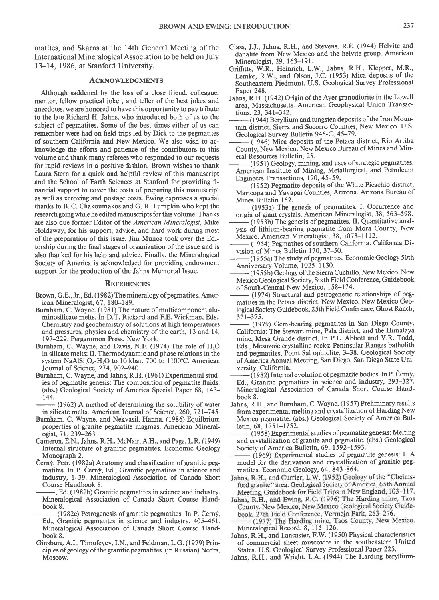matites, and Skarns at the l4th General Meeting of the International Mineralogical Association to be held on July l3-14, 1986, at Stanford University.

### ACKNOWLEDGMENTS

Although saddened by the loss of a close friend, colleague, mentor, fellow practical joker, and teller of the best jokes and anecdotes, we are honored to have this opportunity to pay tribute to the late Richard H. Jahns, who introduced both of us to the subject of pegmatites. Some of the best times either of us can remember were had on field trips led by Dick to the pegmatites of southern California and New Mexico. We also wish to acknowledge the efforts and patience of the contributors to this volume and thank many referees who responded to our requests for rapid reviews in a positive fashion. Brown wishes to thank Laura Stern for a quick and helpful review of this manuscript and the School of Earth Sciences at Stanford for providing financial support to cover the costs of preparing this manuscript as well as xeroxing and postage costs. Ewing expresses a special thanks to B. C. Chakoumakos and G. R. Lumpkin who kept the research going while he edited manuscripts for this volume. Thanks are also due former Editor of the American Mineralogist, Mike Holdaway, for his support, advice, and hard work during most of the preparation of this issue. Jim Munoz took over the Editorship during the final stages of organization of the issue and is also thanked for his help and advice. Finally, the Mineralogical Society of America is acknowledged for providing endowment support for the production of the Jahns Memorial Issue.

## **REFERENCES**

- Brown, G.E., Jr., Ed. (1982) The mineralogy of pegmatites. American Mineralogist, 67, 180-189.
- Burnham, C. Wayne. (1981) The nature of multicomponent aluminosilicate melts. In D.T. Rickard and F.E. Wickman. Eds.. Chemistry and geochemistry of solutions at high temperatures and pressures, physics and chemistry of the earth, 13 and 14, 197-229. Pergammon Press, New York.
- Burnham, C. Wayne, and Davis, N.F. (1974) The role of H,O in silicate melts: II. Thermodynamic and phase relations in the system  $NaAlSi<sub>3</sub>O<sub>8</sub>-H<sub>2</sub>O$  to 10 kbar, 700 to 1100°C. American Journal of Science, 274, 902-940.
- Burnham, C. Wayne, and Jahns, R.H. (1961) Experimental studies of pegrnatite genesis: The composition of pegmatite fluids. (abs.) Geological Society of America Special Paper 68, 143- 144.
- $(1962)$  A method of determining the solubility of water in silicate melts. American Journal of Science, 260,721-745.
- Burnham, C. Wayne, and Nekvasil, Hanna. (1986) Equilbrium properties of granite pegmatite magmas. American Mineralogist,7l, 239-263.
- Cameron, E.N., Jahns, R.H., McNair, A.H., and Page, L.R. (1949) Internal structure of granitic pegmatites. Economic Geology Monograph 2.
- Černý, Petr. (1982a) Anatomy and classification of granitic pegmatites. In P. Cerný, Ed., Granitic pegmatites in science and industry, l-39. Mineralogical Association of Canada Short Course Handbook 8.
- Ed. (1982b) Granitic pegmatites in science and industry. Mineralogical Association of Canada Short Course Handbook 8.
- $(1982c)$  Petrogenesis of granitic pegmatites. In P. Cerny, Ed., Granitic pegnatites in science and industry, 405-461. Mineralogical Association of Canada Short Course Handbook 8.
- Ginsburg, A.I., Timofeyev, LN., and Feldman, L.G. (1979) Principles ofgeology of the granitic pegmatites. (in Russian) Nedra, Moscow.
- Glass, J.J., Jahns, R.H., and Stevens, R.E. (1944) Helvite and danalite from New Mexico and the helvite group. American Mineralogist, 29, 163-191.
- Grifrtts, W.R., Heinrich, E.w., Jahns, R.H., Klepper, M.R., Lemke, R.W., and Olson, J.C. (1953) Mica deposits of the Southeastern Piedmont. U.S. Geological Survey Professional Paper 248.
- Jahns, R.H. (1942) Origin of the Ayer granodiorite in the Lowell area, Massachusetts. American Geophysical Union Transactions.23. 341-342.
- (1944) Beryllium and tungsten deposits of the Iron Mountain district. Sierra and Socorro Counties, New Mexico. U.S. Geological Survey Bulletin 945-C, 45-79.
- (1946) Mica deposits of the Petaca district, Rio Arriba County, New Mexico. New Mexico Bureau of Mines and Mineral Resources Bulletin, 25.
- (1951) Geology, mining, and uses of strategic pegmatites. American Institute of Mining, Metallurgical, and Petroleum Engineers Transactions, 190, 45-59.
- (1952) Pegmatite deposits of the White Picachio district, Maricopa and Yavapai Counties, Arizona. Arizona Bureau of Mines Bulletin 162.
- (1953a) The genesis of pegmatites. I. Occurrence and origin of giant crystals. American Mineralogist, 38, 563-598.
- (1953b) The genesis of pegmatites. II. Quantitative analysis of lithium-bearing pegmatite from Mora County, New Mexico. American Mineralogist, 38, 1078-1 112.
- (1954) Pegmatites of southern California. California Division of Mines Bulletin 170, 37-50.
- (1955a) The study of pegmatites. Economic Geology 50th Anniversary Volume, 1025-1130.
- -(1955b) Geology ofthe Sierra Cuchillo, New Mexico. New Mexico Geological Society, Sixth Field Conference, Guidebook of South-Central New Mexico, 158-174.
- (1974) Structural and petrogenetic relationships of pegmatites in the Petaca district, New Mexico. New Mexico Geological Society Guidebook, 25th Field Conference, Ghost Ranch,  $371 - 375.$
- (1979) Gem-bearing pegmatites in San Diego County, California: The Stewart mine, Pala district, and the Himalaya mine, Mesa Grande district. In P.L. Abbott and V.R. Todd, Eds., Mesozoic crystalline rocks: Peninsular Ranges batholith and pegmatites, Point Sal ophiolite, 3-38. Geological Society of America Annual Meeting, San Diego, San Diego State University, California.
- $-$  (1982) Internal evolution of pegmatite bodies. In P. Cerny, Ed., Granitic pegmatites in science and industry, 293-327. Mineralogical Association of Canada Short Course Handbook 8.
- Jahns, R.H., and Burnham, C. Wayne. (1957) Preliminary results from experimental melting and crystallization of Harding New Mexico pegmatite. (abs.) Geological Society of America Bulletin,68, l75l-1752.
- (1958) Experimental studies of pegmatite genesis: Melting and crystallization of granite and pegmatite. (abs.) Geological Society of America Bulletin, 69, 1592-1593.
- (1969) Experimental studies of pegmatite genesis: I. A model for the derivation and crystallization of granitic pegmatites. Economic Geology, 64, 843-864.<br>Jahns, R.H., and Currier, L.W. (1952) Geology of the "Chelms-
- ford granite" area. Geological Society of America, 65th Annual Meeting, Guidebook for Field Trips in New England, 103-117.
- Jahns, R.H., and Ewing, R.C. (1976) The Harding mine, Taos County, New Mexico, New Mexico Geological Society Guidebook, 27th Field Conference, Vermejo Park, 263-276.
- (1977) The Harding mine, Taos County, New Mexico. Mineralogical Record, 8, 115-126.
- Jahns, R.H., and Lancaster, F.W. (1950) Physical characteristics of commercial sheet muscovite in the southeastern United States. U.S. Geological Survey Professional Paper 225.
- Jahns, R.H., and Wright, L.A. (1944) The Harding beryllium-